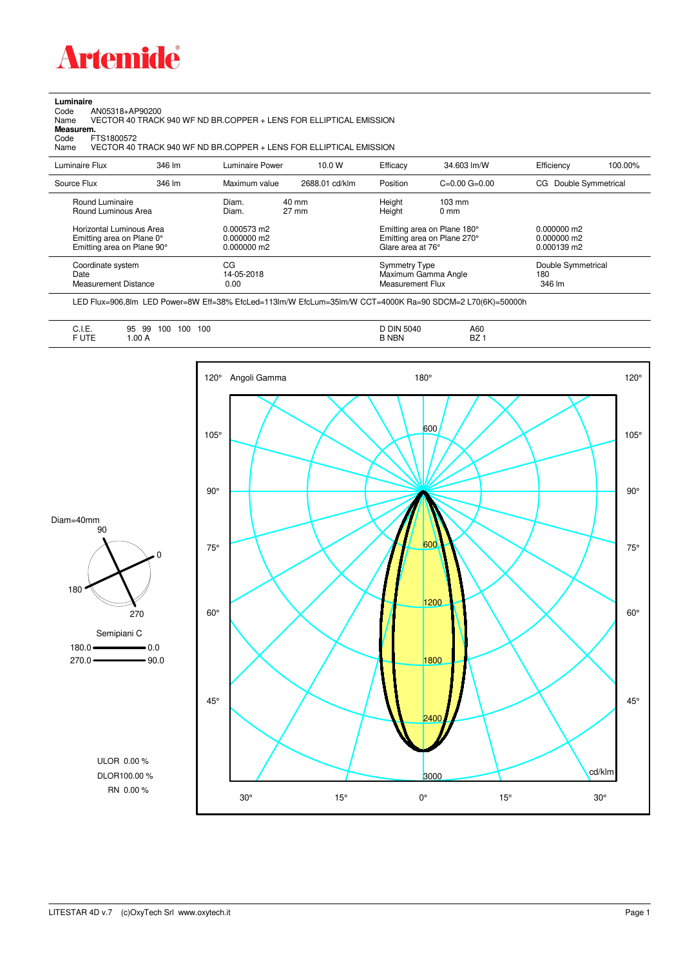

## **Luminaire**<br>Code /<br>Name

Code AN05318+AP90200 Name VECTOR 40 TRACK 940 WF ND BR.COPPER + LENS FOR ELLIPTICAL EMISSION

**Measurem.**

Code FTS1800572<br>Name VECTOR 40 VECTOR 40 TRACK 940 WF ND BR.COPPER + LENS FOR ELLIPTICAL EMISSION

| Luminaire Flux                                                                                  | 346 lm | Luminaire Power                                | 10.0 W                             | Efficacy                                 | 34.603 lm/W                                                                                      | Efficiency                          | 100.00% |
|-------------------------------------------------------------------------------------------------|--------|------------------------------------------------|------------------------------------|------------------------------------------|--------------------------------------------------------------------------------------------------|-------------------------------------|---------|
| Source Flux                                                                                     | 346 lm | Maximum value                                  | 2688.01 cd/klm                     | Position                                 | $C=0.00$ $G=0.00$                                                                                | Double Symmetrical<br>CG.           |         |
| Round Luminaire<br>Round Luminous Area<br>Horizontal Luminous Area<br>Emitting area on Plane 0° |        | Diam.<br>Diam.<br>0.000573 m2<br>$0.000000$ m2 | $40 \text{ mm}$<br>$27 \text{ mm}$ | Height<br>Height                         | $103 \text{ mm}$<br>$0 \text{ mm}$<br>Emitting area on Plane 180°<br>Emitting area on Plane 270° | $0.000000$ m2<br>0.000000 m2        |         |
| Emitting area on Plane 90°                                                                      |        | $0.000000$ m2                                  |                                    | Glare area at 76°                        |                                                                                                  | $0.000139$ m2                       |         |
| Coordinate system<br>Date<br>Measurement Distance                                               |        | CG<br>14-05-2018<br>0.00                       |                                    | <b>Symmetry Type</b><br>Measurement Flux | Maximum Gamma Angle                                                                              | Double Symmetrical<br>180<br>346 lm |         |

LED Flux=906,8lm LED Power=8W Eff=38% EfcLed=113lm/W EfcLum=35lm/W CCT=4000K Ra=90 SDCM=2 L70(6K)=50000h

| <b>BZ</b><br>F UTE<br><b>B NBN</b><br>.00A |
|--------------------------------------------|
|--------------------------------------------|